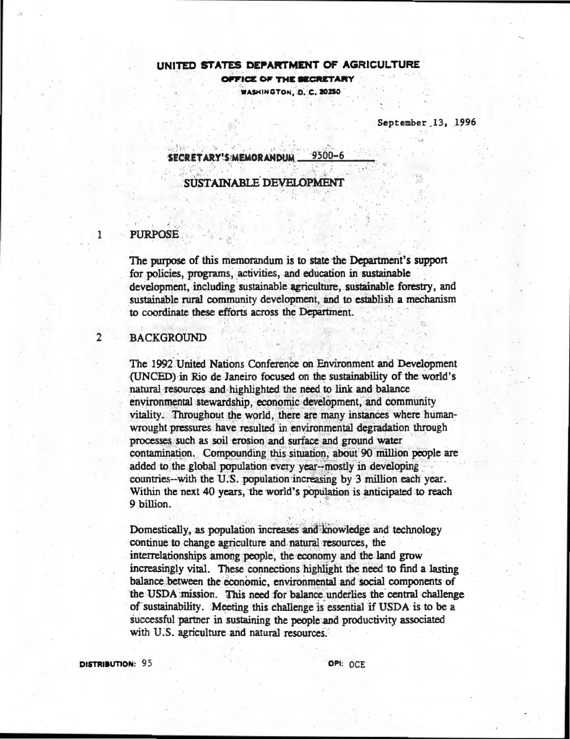# UNITED STATES DEPARTMENT OF AGRICULTURE OFFICE OF THE SECRETARY WASHINGTON, D. C. 20250

September 13, 1996

 $9500 - 6$ SECRETARY'S MEMORANDUM

SUSTAINABLE DEVELOPMENT

# **PURPOSE**

1

 $\mathbf{2}$ 

The purpose of this memorandum is to state the Department's support for policies, programs, activities, and education in sustainable development, including sustainable agriculture, sustainable forestry, and sustainable rural community development, and to establish a mechanism to coordinate these efforts across the Department.

# **BACKGROUND**

The 1992 United Nations Conference on Environment and Development (UNCED) in Rio de Janeiro focused on the sustainability of the world's natural resources and highlighted the need to link and balance environmental stewardship, economic development, and community vitality. Throughout the world, there are many instances where humanwrought pressures have resulted in environmental degradation through processes such as soil erosion and surface and ground water contamination. Compounding this situation, about 90 million people are added to the global population every year--mostly in developing countries-with the U.S. population increasing by 3 million each year. Within the next 40 years, the world's population is anticipated to reach 9 billion.

Domestically, as population increases and knowledge and technology continue to change agriculture and natural resources, the interrelationships among people, the economy and the land grow increasingly vital. These connections highlight the need to find a lasting balance between the economic, environmental and social components of the USDA mission. This need for balance underlies the central challenge of sustainability. Meeting this challenge is essential if USDA is to be a successful partner in sustaining the people and productivity associated with U.S. agriculture and natural resources.

DISTRIBUTION: 95

OPI: OCE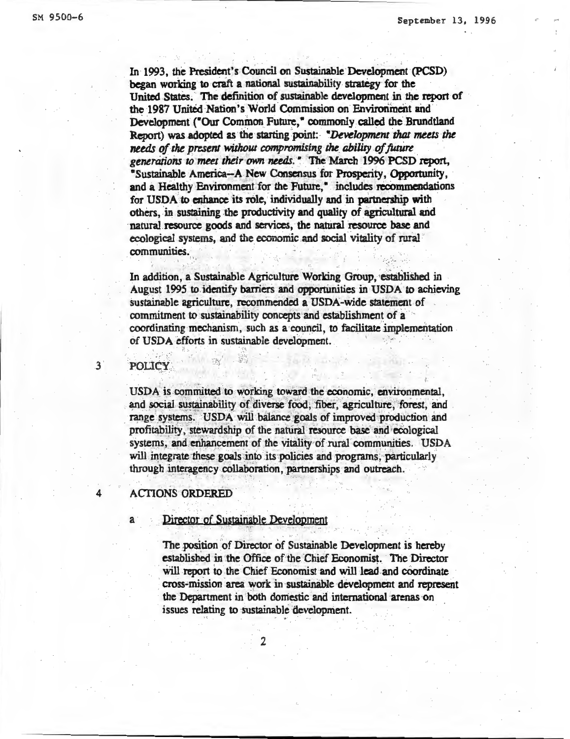In 1993, the President's Council on Sustainable Development (PCSD) began working to craft a national sustainability strategy for the United States. The definition of sustainable development in the report of the 1987 United Nation's World Commission on Environment and Development ("Our Common Future," commonly called the Brundtland Report) was adopted as the starting point: "Development that meets the needs of the present without compromising the ability of future generations to meet their own needs." The March 1996 PCSD report. "Sustainable America--A New Consensus for Prosperity, Opportunity, and a Healthy Environment for the Future," includes recommendations for USDA to enhance its role, individually and in partnership with others, in sustaining the productivity and quality of agricultural and natural resource goods and services, the natural resource base and ecological systems, and the economic and social vitality of rural communities.

In addition, a Sustainable Agriculture Working Group, established in August 1995 to identify barriers and opportunities in USDA to achieving sustainable agriculture, recommended a USDA-wide statement of commitment to sustainability concepts and establishment of a coordinating mechanism, such as a council, to facilitate implementation of USDA efforts in sustainable development.

# **POLICY**

3

USDA is committed to working toward the economic, environmental, and social sustainability of diverse food, fiber, agriculture, forest, and range systems. USDA will balance goals of improved production and profitability, stewardship of the natural resource base and ecological systems, and enhancement of the vitality of rural communities. USDA will integrate these goals into its policies and programs, particularly through interagency collaboration, partnerships and outreach.

### **ACTIONS ORDERED**

Director of Sustainable Development

The position of Director of Sustainable Development is hereby established in the Office of the Chief Economist. The Director will report to the Chief Economist and will lead and coordinate cross-mission area work in sustainable development and represent the Department in both domestic and international arenas on issues relating to sustainable development.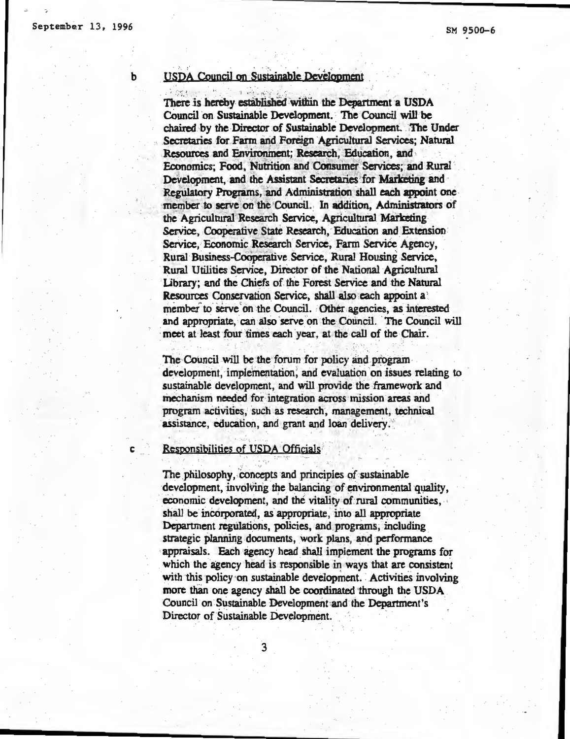b

## **USDA Council on Sustainable Development**

There is hereby established within the Department a USDA Council on Sustainable Development. The Council will be chaired by the Director of Sustainable Development. The Under Secretaries for Farm and Foreign Agricultural Services; Natural Resources and Environment; Research, Education, and Economics: Food, Nutrition and Consumer Services; and Rural Development, and the Assistant Secretaries for Marketing and Regulatory Programs, and Administration shall each appoint one member to serve on the Council. In addition, Administrators of the Agricultural Research Service, Agricultural Marketing Service, Cooperative State Research, Education and Extension Service, Economic Research Service, Farm Service Agency, Rural Business-Cooperative Service, Rural Housing Service, Rural Utilities Service, Director of the National Agricultural Library; and the Chiefs of the Forest Service and the Natural Resources Conservation Service, shall also each appoint a member to serve on the Council. Other agencies, as interested and appropriate, can also serve on the Council. The Council will meet at least four times each year, at the call of the Chair.

The Council will be the forum for policy and programdevelopment, implementation, and evaluation on issues relating to sustainable development, and will provide the framework and mechanism needed for integration across mission areas and program activities, such as research, management, technical assistance, education, and grant and loan delivery.

Responsibilities of USDA Officials<sup>2</sup>

The philosophy, concepts and principles of sustainable development, involving the balancing of environmental quality, economic development, and the vitality of rural communities. shall be incorporated, as appropriate, into all appropriate Department regulations, policies, and programs, including strategic planning documents, work plans, and performance appraisals. Each agency head shall implement the programs for which the agency head is responsible in ways that are consistent with this policy on sustainable development. Activities involving more than one agency shall be coordinated through the USDA Council on Sustainable Development and the Department's Director of Sustainable Development.